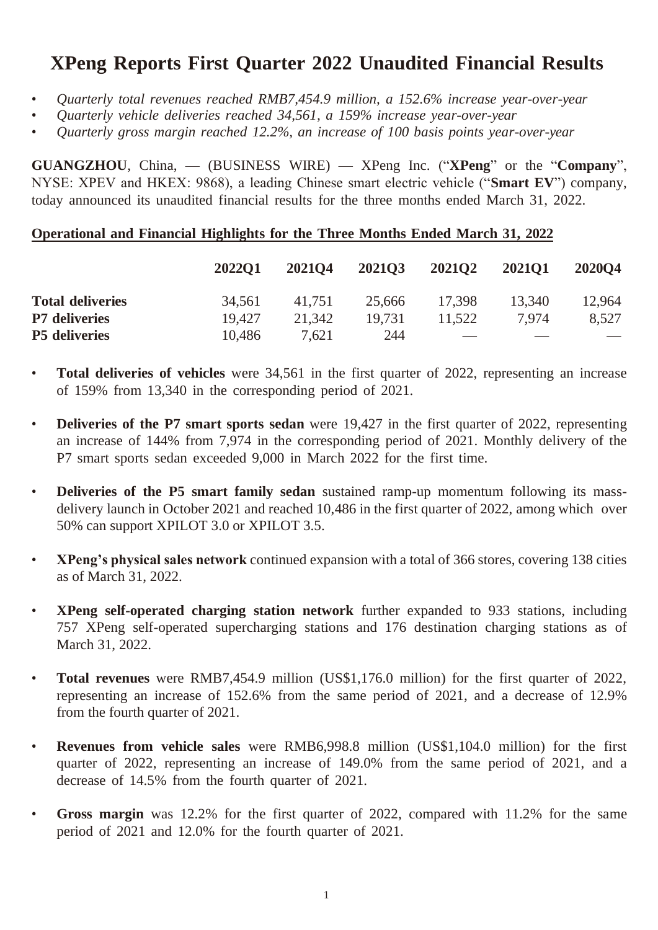### **XPeng Reports First Quarter 2022 Unaudited Financial Results**

- *Quarterly total revenues reached RMB7,454.9 million, a 152.6% increase year-over-year*
- *Quarterly vehicle deliveries reached 34,561, a 159% increase year-over-year*
- *Quarterly gross margin reached 12.2%, an increase of 100 basis points year-over-year*

**GUANGZHOU**, China, — (BUSINESS WIRE) — XPeng Inc. ("**XPeng**" or the "**Company**", NYSE: XPEV and HKEX: 9868), a leading Chinese smart electric vehicle ("**Smart EV**") company, today announced its unaudited financial results for the three months ended March 31, 2022.

#### **Operational and Financial Highlights for the Three Months Ended March 31, 2022**

|                         | <b>2022O1</b> | 202104 | 202103 | 202102                   | <b>202101</b> | 202004 |
|-------------------------|---------------|--------|--------|--------------------------|---------------|--------|
| <b>Total deliveries</b> | 34,561        | 41.751 | 25,666 | 17.398                   | 13.340        | 12.964 |
| <b>P7</b> deliveries    | 19.427        | 21.342 | 19.731 | 11.522                   | 7.974         | 8.527  |
| <b>P5</b> deliveries    | 10,486        | 7,621  | 244    | $\overline{\phantom{a}}$ |               |        |

- **Total deliveries of vehicles** were 34,561 in the first quarter of 2022, representing an increase of 159% from 13,340 in the corresponding period of 2021.
- **Deliveries of the P7 smart sports sedan** were 19,427 in the first quarter of 2022, representing an increase of 144% from 7,974 in the corresponding period of 2021. Monthly delivery of the P7 smart sports sedan exceeded 9,000 in March 2022 for the first time.
- **Deliveries of the P5 smart family sedan** sustained ramp-up momentum following its massdelivery launch in October 2021 and reached 10,486 in the first quarter of 2022, among which over 50% can support XPILOT 3.0 or XPILOT 3.5.
- **XPeng's physical sales network** continued expansion with a total of 366 stores, covering 138 cities as of March 31, 2022.
- **XPeng self-operated charging station network** further expanded to 933 stations, including 757 XPeng self-operated supercharging stations and 176 destination charging stations as of March 31, 2022.
- **Total revenues** were RMB7,454.9 million (US\$1,176.0 million) for the first quarter of 2022, representing an increase of 152.6% from the same period of 2021, and a decrease of 12.9% from the fourth quarter of 2021.
- **Revenues from vehicle sales** were RMB6,998.8 million (US\$1,104.0 million) for the first quarter of 2022, representing an increase of 149.0% from the same period of 2021, and a decrease of 14.5% from the fourth quarter of 2021.
- **Gross margin** was 12.2% for the first quarter of 2022, compared with 11.2% for the same period of 2021 and 12.0% for the fourth quarter of 2021.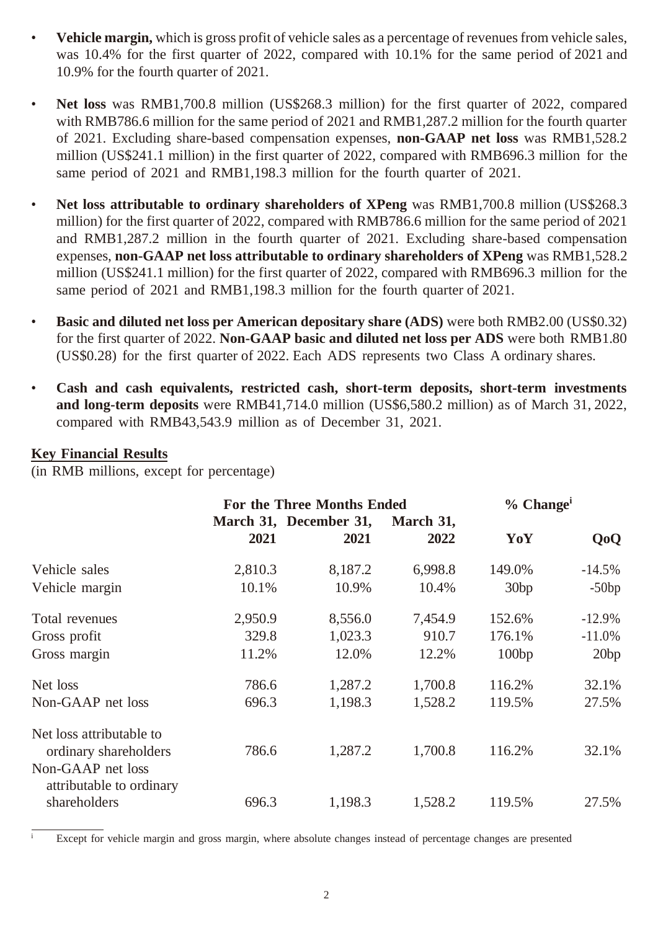- **Vehicle margin,** which is gross profit of vehicle sales as a percentage of revenues from vehicle sales, was 10.4% for the first quarter of 2022, compared with 10.1% for the same period of 2021 and 10.9% for the fourth quarter of 2021.
- **Net loss** was RMB1,700.8 million (US\$268.3 million) for the first quarter of 2022, compared with RMB786.6 million for the same period of 2021 and RMB1,287.2 million for the fourth quarter of 2021. Excluding share-based compensation expenses, **non-GAAP net loss** was RMB1,528.2 million (US\$241.1 million) in the first quarter of 2022, compared with RMB696.3 million for the same period of 2021 and RMB1,198.3 million for the fourth quarter of 2021.
- **Net loss attributable to ordinary shareholders of XPeng** was RMB1,700.8 million (US\$268.3 million) for the first quarter of 2022, compared with RMB786.6 million for the same period of 2021 and RMB1,287.2 million in the fourth quarter of 2021. Excluding share-based compensation expenses, **non-GAAP net loss attributable to ordinary shareholders of XPeng** was RMB1,528.2 million (US\$241.1 million) for the first quarter of 2022, compared with RMB696.3 million for the same period of 2021 and RMB1,198.3 million for the fourth quarter of 2021.
- **Basic and diluted net loss per American depositary share (ADS)** were both RMB2.00 (US\$0.32) for the first quarter of 2022. **Non-GAAP basic and diluted net loss per ADS** were both RMB1.80 (US\$0.28) for the first quarter of 2022. Each ADS represents two Class A ordinary shares.
- **Cash and cash equivalents, restricted cash, short-term deposits, short-term investments and long-term deposits** were RMB41,714.0 million (US\$6,580.2 million) as of March 31, 2022, compared with RMB43,543.9 million as of December 31, 2021.

#### **Key Financial Results**

(in RMB millions, except for percentage)

|                                                   |         | <b>For the Three Months Ended</b> | $%$ Change <sup>i</sup> |        |                  |
|---------------------------------------------------|---------|-----------------------------------|-------------------------|--------|------------------|
|                                                   | 2021    | March 31, December 31,<br>2021    | March 31,<br>2022       | YoY    | Q <sub>o</sub> Q |
| Vehicle sales                                     | 2,810.3 | 8,187.2                           | 6,998.8                 | 149.0% | $-14.5\%$        |
| Vehicle margin                                    | 10.1%   | 10.9%                             | 10.4%                   | 30bp   | $-50bp$          |
| Total revenues                                    | 2,950.9 | 8,556.0                           | 7,454.9                 | 152.6% | $-12.9\%$        |
| Gross profit                                      | 329.8   | 1,023.3                           | 910.7                   | 176.1% | $-11.0\%$        |
| Gross margin                                      | 11.2%   | 12.0%                             | 12.2%                   | 100bp  | 20bp             |
| Net loss                                          | 786.6   | 1,287.2                           | 1,700.8                 | 116.2% | 32.1%            |
| Non-GAAP net loss                                 | 696.3   | 1,198.3                           | 1,528.2                 | 119.5% | 27.5%            |
| Net loss attributable to<br>ordinary shareholders | 786.6   | 1,287.2                           | 1,700.8                 | 116.2% | 32.1%            |
| Non-GAAP net loss<br>attributable to ordinary     |         |                                   |                         |        |                  |
| shareholders                                      | 696.3   | 1,198.3                           | 1,528.2                 | 119.5% | 27.5%            |

Except for vehicle margin and gross margin, where absolute changes instead of percentage changes are presented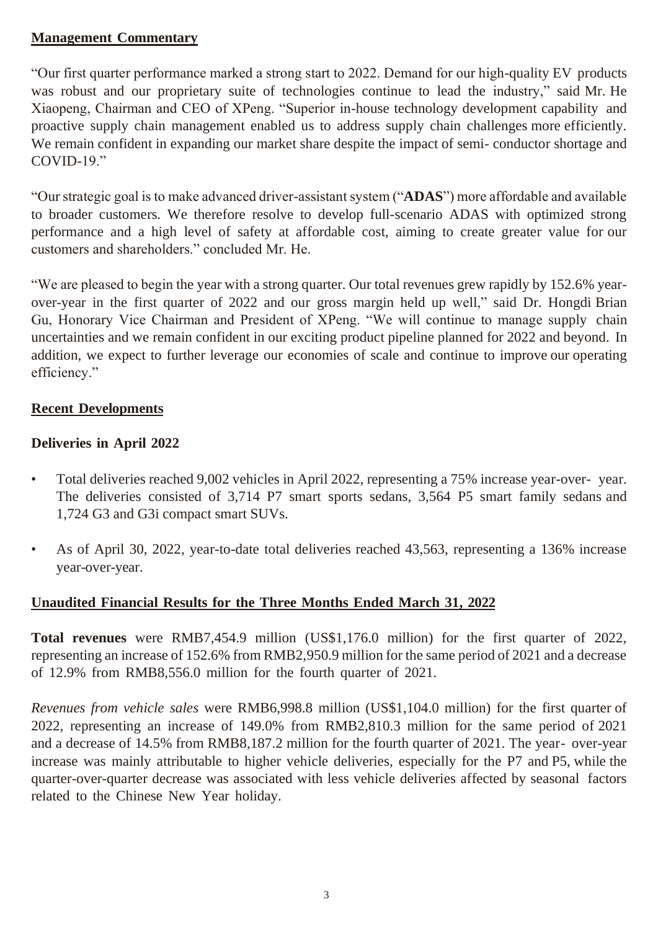#### **Management Commentary**

"Our first quarter performance marked a strong start to 2022. Demand for our high-quality EV products was robust and our proprietary suite of technologies continue to lead the industry," said Mr. He Xiaopeng, Chairman and CEO of XPeng. "Superior in-house technology development capability and proactive supply chain management enabled us to address supply chain challenges more efficiently. We remain confident in expanding our market share despite the impact of semi- conductor shortage and COVID-19."

"Our strategic goal is to make advanced driver-assistant system ("**ADAS**") more affordable and available to broader customers. We therefore resolve to develop full-scenario ADAS with optimized strong performance and a high level of safety at affordable cost, aiming to create greater value for our customers and shareholders." concluded Mr. He.

"We are pleased to begin the year with a strong quarter. Our total revenues grew rapidly by 152.6% yearover-year in the first quarter of 2022 and our gross margin held up well," said Dr. Hongdi Brian Gu, Honorary Vice Chairman and President of XPeng. "We will continue to manage supply chain uncertainties and we remain confident in our exciting product pipeline planned for 2022 and beyond. In addition, we expect to further leverage our economies of scale and continue to improve our operating efficiency."

#### **Recent Developments**

#### **Deliveries in April 2022**

- Total deliveries reached 9,002 vehicles in April 2022, representing a 75% increase year-over- year. The deliveries consisted of 3,714 P7 smart sports sedans, 3,564 P5 smart family sedans and 1,724 G3 and G3i compact smart SUVs.
- As of April 30, 2022, year-to-date total deliveries reached 43,563, representing a 136% increase year-over-year.

### **Unaudited Financial Results for the Three Months Ended March 31, 2022**

**Total revenues** were RMB7,454.9 million (US\$1,176.0 million) for the first quarter of 2022, representing an increase of 152.6% from RMB2,950.9 million for the same period of 2021 and a decrease of 12.9% from RMB8,556.0 million for the fourth quarter of 2021.

*Revenues from vehicle sales* were RMB6,998.8 million (US\$1,104.0 million) for the first quarter of 2022, representing an increase of 149.0% from RMB2,810.3 million for the same period of 2021 and a decrease of 14.5% from RMB8,187.2 million for the fourth quarter of 2021. The year- over-year increase was mainly attributable to higher vehicle deliveries, especially for the P7 and P5, while the quarter-over-quarter decrease was associated with less vehicle deliveries affected by seasonal factors related to the Chinese New Year holiday.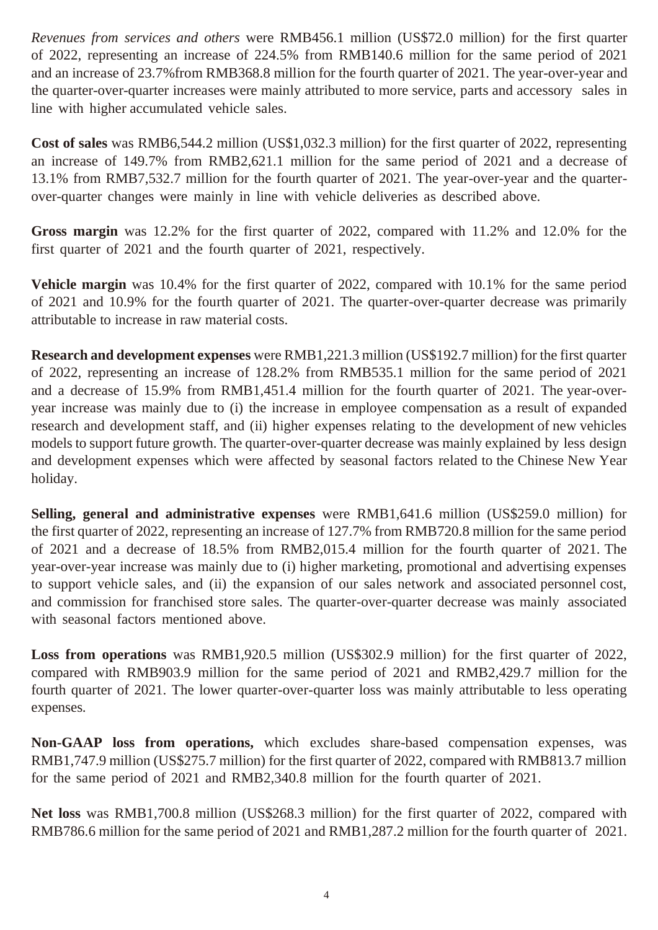*Revenues from services and others* were RMB456.1 million (US\$72.0 million) for the first quarter of 2022, representing an increase of 224.5% from RMB140.6 million for the same period of 2021 and an increase of 23.7%from RMB368.8 million for the fourth quarter of 2021. The year-over-year and the quarter-over-quarter increases were mainly attributed to more service, parts and accessory sales in line with higher accumulated vehicle sales.

**Cost of sales** was RMB6,544.2 million (US\$1,032.3 million) for the first quarter of 2022, representing an increase of 149.7% from RMB2,621.1 million for the same period of 2021 and a decrease of 13.1% from RMB7,532.7 million for the fourth quarter of 2021. The year-over-year and the quarterover-quarter changes were mainly in line with vehicle deliveries as described above.

**Gross margin** was 12.2% for the first quarter of 2022, compared with 11.2% and 12.0% for the first quarter of 2021 and the fourth quarter of 2021, respectively.

**Vehicle margin** was 10.4% for the first quarter of 2022, compared with 10.1% for the same period of 2021 and 10.9% for the fourth quarter of 2021. The quarter-over-quarter decrease was primarily attributable to increase in raw material costs.

**Research and development expenses** were RMB1,221.3 million (US\$192.7 million) for the first quarter of 2022, representing an increase of 128.2% from RMB535.1 million for the same period of 2021 and a decrease of 15.9% from RMB1,451.4 million for the fourth quarter of 2021. The year-overyear increase was mainly due to (i) the increase in employee compensation as a result of expanded research and development staff, and (ii) higher expenses relating to the development of new vehicles models to support future growth. The quarter-over-quarter decrease was mainly explained by less design and development expenses which were affected by seasonal factors related to the Chinese New Year holiday.

**Selling, general and administrative expenses** were RMB1,641.6 million (US\$259.0 million) for the first quarter of 2022, representing an increase of 127.7% from RMB720.8 million for the same period of 2021 and a decrease of 18.5% from RMB2,015.4 million for the fourth quarter of 2021. The year-over-year increase was mainly due to (i) higher marketing, promotional and advertising expenses to support vehicle sales, and (ii) the expansion of our sales network and associated personnel cost, and commission for franchised store sales. The quarter-over-quarter decrease was mainly associated with seasonal factors mentioned above.

**Loss from operations** was RMB1,920.5 million (US\$302.9 million) for the first quarter of 2022, compared with RMB903.9 million for the same period of 2021 and RMB2,429.7 million for the fourth quarter of 2021. The lower quarter-over-quarter loss was mainly attributable to less operating expenses.

**Non-GAAP loss from operations,** which excludes share-based compensation expenses, was RMB1,747.9 million (US\$275.7 million) for the first quarter of 2022, compared with RMB813.7 million for the same period of 2021 and RMB2,340.8 million for the fourth quarter of 2021.

**Net loss** was RMB1,700.8 million (US\$268.3 million) for the first quarter of 2022, compared with RMB786.6 million for the same period of 2021 and RMB1,287.2 million for the fourth quarter of 2021.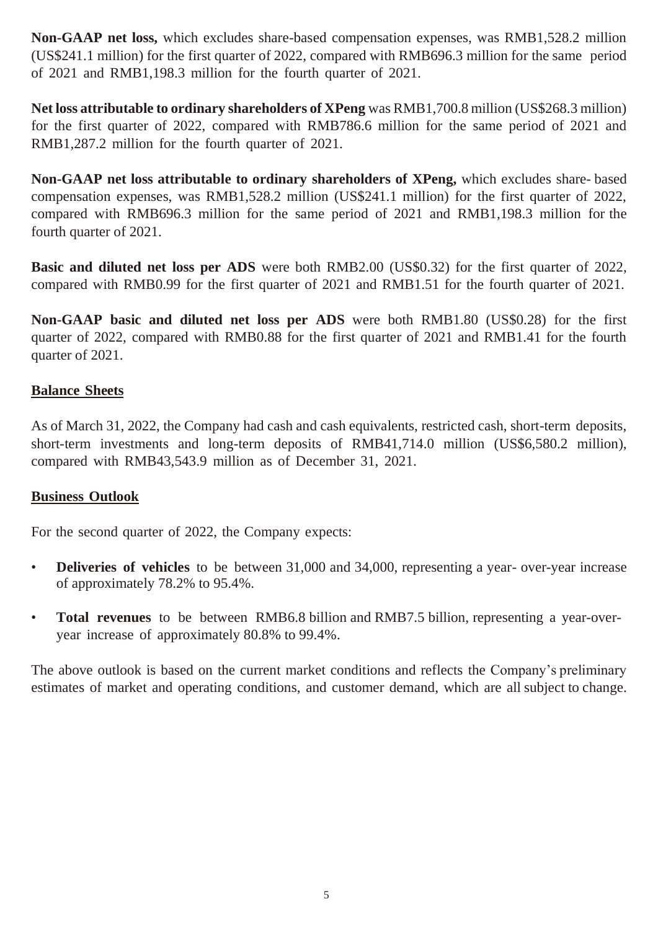**Non-GAAP net loss,** which excludes share-based compensation expenses, was RMB1,528.2 million (US\$241.1 million) for the first quarter of 2022, compared with RMB696.3 million for the same period of 2021 and RMB1,198.3 million for the fourth quarter of 2021.

**Net loss attributable to ordinary shareholders of XPeng** was RMB1,700.8 million (US\$268.3 million) for the first quarter of 2022, compared with RMB786.6 million for the same period of 2021 and RMB1,287.2 million for the fourth quarter of 2021.

**Non-GAAP net loss attributable to ordinary shareholders of XPeng,** which excludes share- based compensation expenses, was RMB1,528.2 million (US\$241.1 million) for the first quarter of 2022, compared with RMB696.3 million for the same period of 2021 and RMB1,198.3 million for the fourth quarter of 2021.

**Basic and diluted net loss per ADS** were both RMB2.00 (US\$0.32) for the first quarter of 2022, compared with RMB0.99 for the first quarter of 2021 and RMB1.51 for the fourth quarter of 2021.

**Non-GAAP basic and diluted net loss per ADS** were both RMB1.80 (US\$0.28) for the first quarter of 2022, compared with RMB0.88 for the first quarter of 2021 and RMB1.41 for the fourth quarter of 2021.

#### **Balance Sheets**

As of March 31, 2022, the Company had cash and cash equivalents, restricted cash, short-term deposits, short-term investments and long-term deposits of RMB41,714.0 million (US\$6,580.2 million), compared with RMB43,543.9 million as of December 31, 2021.

#### **Business Outlook**

For the second quarter of 2022, the Company expects:

- **Deliveries of vehicles** to be between 31,000 and 34,000, representing a year- over-year increase of approximately 78.2% to 95.4%.
- **Total revenues** to be between RMB6.8 billion and RMB7.5 billion, representing a year-overyear increase of approximately 80.8% to 99.4%.

The above outlook is based on the current market conditions and reflects the Company's preliminary estimates of market and operating conditions, and customer demand, which are all subject to change.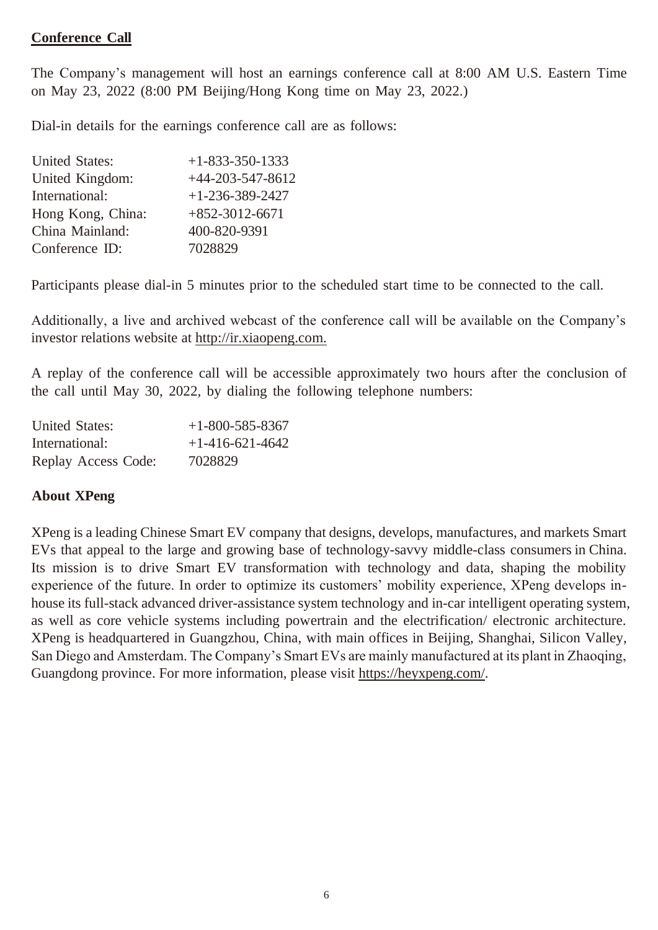#### **Conference Call**

The Company's management will host an earnings conference call at 8:00 AM U.S. Eastern Time on May 23, 2022 (8:00 PM Beijing/Hong Kong time on May 23, 2022.)

Dial-in details for the earnings conference call are as follows:

| <b>United States:</b> | $+1 - 833 - 350 - 1333$ |
|-----------------------|-------------------------|
| United Kingdom:       | $+44-203-547-8612$      |
| International:        | $+1-236-389-2427$       |
| Hong Kong, China:     | $+852-3012-6671$        |
| China Mainland:       | 400-820-9391            |
| Conference ID:        | 7028829                 |

Participants please dial-in 5 minutes prior to the scheduled start time to be connected to the call.

Additionally, a live and archived webcast of the conference call will be available on the Company's investor relations website at [http://ir.xiaopeng.com.](http://ir.xiaopeng.com/)

A replay of the conference call will be accessible approximately two hours after the conclusion of the call until May 30, 2022, by dialing the following telephone numbers:

| <b>United States:</b> | $+1-800-585-8367$ |
|-----------------------|-------------------|
| International:        | $+1-416-621-4642$ |
| Replay Access Code:   | 7028829           |

#### **About XPeng**

XPeng is a leading Chinese Smart EV company that designs, develops, manufactures, and markets Smart EVs that appeal to the large and growing base of technology-savvy middle-class consumers in China. Its mission is to drive Smart EV transformation with technology and data, shaping the mobility experience of the future. In order to optimize its customers' mobility experience, XPeng develops inhouse its full-stack advanced driver-assistance system technology and in-car intelligent operating system, as well as core vehicle systems including powertrain and the electrification/ electronic architecture. XPeng is headquartered in Guangzhou, China, with main offices in Beijing, Shanghai, Silicon Valley, San Diego and Amsterdam. The Company's Smart EVs are mainly manufactured at its plant in Zhaoqing, Guangdong province. For more information, please visit https://heyxpeng.com/.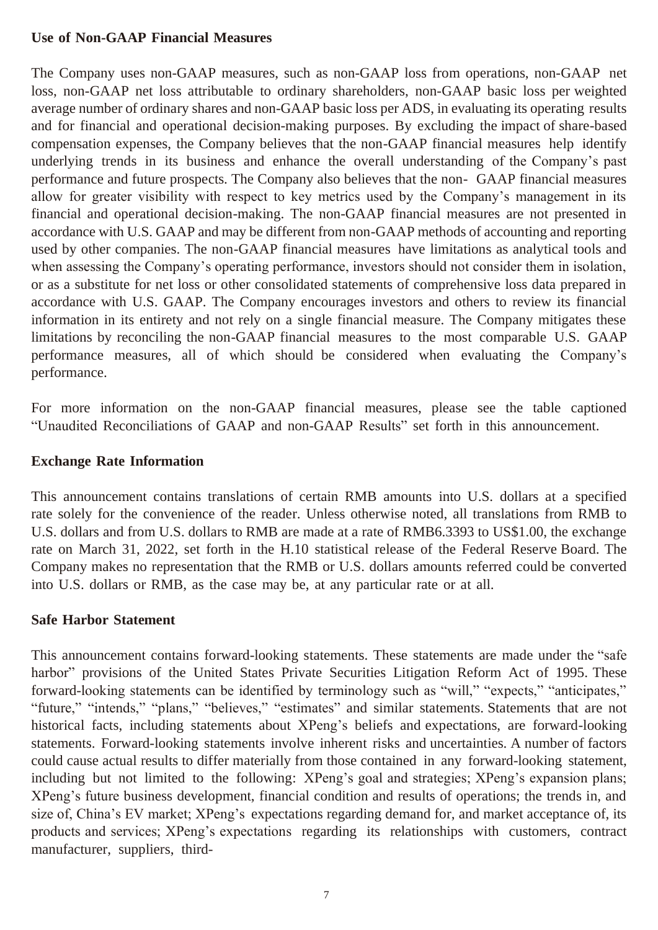#### **Use of Non-GAAP Financial Measures**

The Company uses non-GAAP measures, such as non-GAAP loss from operations, non-GAAP net loss, non-GAAP net loss attributable to ordinary shareholders, non-GAAP basic loss per weighted average number of ordinary shares and non-GAAP basic loss per ADS, in evaluating its operating results and for financial and operational decision-making purposes. By excluding the impact of share-based compensation expenses, the Company believes that the non-GAAP financial measures help identify underlying trends in its business and enhance the overall understanding of the Company's past performance and future prospects. The Company also believes that the non- GAAP financial measures allow for greater visibility with respect to key metrics used by the Company's management in its financial and operational decision-making. The non-GAAP financial measures are not presented in accordance with U.S. GAAP and may be different from non-GAAP methods of accounting and reporting used by other companies. The non-GAAP financial measures have limitations as analytical tools and when assessing the Company's operating performance, investors should not consider them in isolation, or as a substitute for net loss or other consolidated statements of comprehensive loss data prepared in accordance with U.S. GAAP. The Company encourages investors and others to review its financial information in its entirety and not rely on a single financial measure. The Company mitigates these limitations by reconciling the non-GAAP financial measures to the most comparable U.S. GAAP performance measures, all of which should be considered when evaluating the Company's performance.

For more information on the non-GAAP financial measures, please see the table captioned "Unaudited Reconciliations of GAAP and non-GAAP Results" set forth in this announcement.

#### **Exchange Rate Information**

This announcement contains translations of certain RMB amounts into U.S. dollars at a specified rate solely for the convenience of the reader. Unless otherwise noted, all translations from RMB to U.S. dollars and from U.S. dollars to RMB are made at a rate of RMB6.3393 to US\$1.00, the exchange rate on March 31, 2022, set forth in the H.10 statistical release of the Federal Reserve Board. The Company makes no representation that the RMB or U.S. dollars amounts referred could be converted into U.S. dollars or RMB, as the case may be, at any particular rate or at all.

#### **Safe Harbor Statement**

This announcement contains forward-looking statements. These statements are made under the "safe harbor" provisions of the United States Private Securities Litigation Reform Act of 1995. These forward-looking statements can be identified by terminology such as "will," "expects," "anticipates," "future," "intends," "plans," "believes," "estimates" and similar statements. Statements that are not historical facts, including statements about XPeng's beliefs and expectations, are forward-looking statements. Forward-looking statements involve inherent risks and uncertainties. A number of factors could cause actual results to differ materially from those contained in any forward-looking statement, including but not limited to the following: XPeng's goal and strategies; XPeng's expansion plans; XPeng's future business development, financial condition and results of operations; the trends in, and size of, China's EV market; XPeng's expectations regarding demand for, and market acceptance of, its products and services; XPeng's expectations regarding its relationships with customers, contract manufacturer, suppliers, third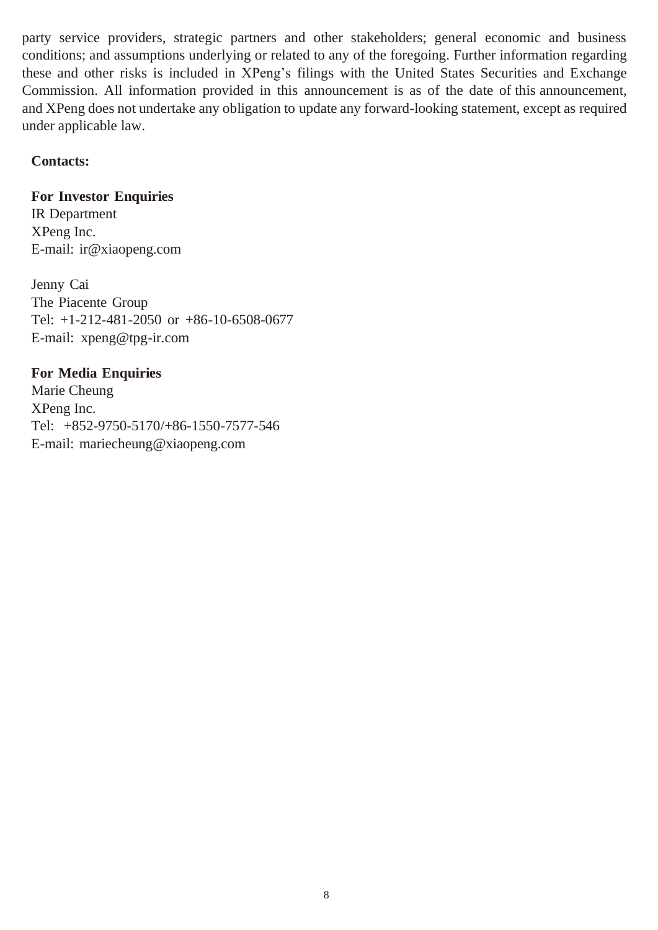party service providers, strategic partners and other stakeholders; general economic and business conditions; and assumptions underlying or related to any of the foregoing. Further information regarding these and other risks is included in XPeng's filings with the United States Securities and Exchange Commission. All information provided in this announcement is as of the date of this announcement, and XPeng does not undertake any obligation to update any forward-looking statement, except as required under applicable law.

#### **Contacts:**

#### **For Investor Enquiries**

IR Department XPeng Inc. E-mail: [ir@xiaopeng.com](mailto:ir@xiaopeng.com)

Jenny Cai The Piacente Group Tel: +1-212-481-2050 or +86-10-6508-0677 E-mail: [xpeng@tpg-ir.com](mailto:xpeng@tpg-ir.com)

#### **For Media Enquiries**

Marie Cheung XPeng Inc. Tel: +852-9750-5170/+86-1550-7577-546 E-mail: [mariecheung@xiaopeng.com](mailto:mariecheung@xiaopeng.com)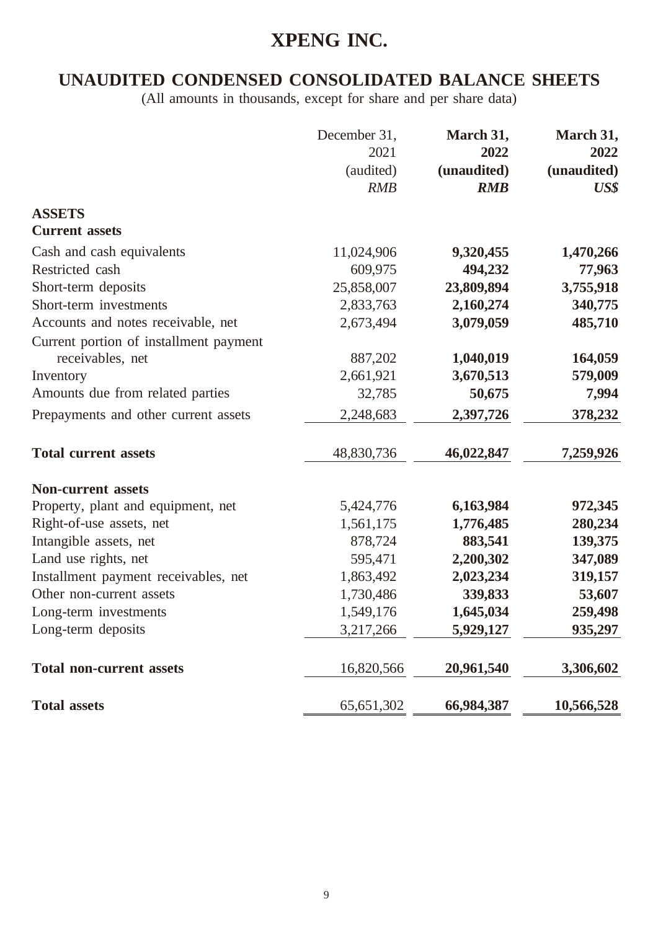### **UNAUDITED CONDENSED CONSOLIDATED BALANCE SHEETS**

|                                        | December 31,<br>2021<br>(audited)<br><b>RMB</b> | March 31,<br>2022<br>(unaudited)<br><b>RMB</b> | March 31,<br>2022<br>(unaudited)<br>$\boldsymbol{U}$ S\$ |
|----------------------------------------|-------------------------------------------------|------------------------------------------------|----------------------------------------------------------|
| <b>ASSETS</b>                          |                                                 |                                                |                                                          |
| <b>Current assets</b>                  |                                                 |                                                |                                                          |
| Cash and cash equivalents              | 11,024,906                                      | 9,320,455                                      | 1,470,266                                                |
| Restricted cash                        | 609,975                                         | 494,232                                        | 77,963                                                   |
| Short-term deposits                    | 25,858,007                                      | 23,809,894                                     | 3,755,918                                                |
| Short-term investments                 | 2,833,763                                       | 2,160,274                                      | 340,775                                                  |
| Accounts and notes receivable, net     | 2,673,494                                       | 3,079,059                                      | 485,710                                                  |
| Current portion of installment payment |                                                 |                                                |                                                          |
| receivables, net                       | 887,202                                         | 1,040,019                                      | 164,059                                                  |
| Inventory                              | 2,661,921                                       | 3,670,513                                      | 579,009                                                  |
| Amounts due from related parties       | 32,785                                          | 50,675                                         | 7,994                                                    |
| Prepayments and other current assets   | 2,248,683                                       | 2,397,726                                      | 378,232                                                  |
| <b>Total current assets</b>            | 48,830,736                                      | 46,022,847                                     | 7,259,926                                                |
| <b>Non-current assets</b>              |                                                 |                                                |                                                          |
| Property, plant and equipment, net     | 5,424,776                                       | 6,163,984                                      | 972,345                                                  |
| Right-of-use assets, net               | 1,561,175                                       | 1,776,485                                      | 280,234                                                  |
| Intangible assets, net                 | 878,724                                         | 883,541                                        | 139,375                                                  |
| Land use rights, net                   | 595,471                                         | 2,200,302                                      | 347,089                                                  |
| Installment payment receivables, net   | 1,863,492                                       | 2,023,234                                      | 319,157                                                  |
| Other non-current assets               | 1,730,486                                       | 339,833                                        | 53,607                                                   |
| Long-term investments                  | 1,549,176                                       | 1,645,034                                      | 259,498                                                  |
| Long-term deposits                     | 3,217,266                                       | 5,929,127                                      | 935,297                                                  |
| <b>Total non-current assets</b>        | 16,820,566                                      | 20,961,540                                     | 3,306,602                                                |
| <b>Total assets</b>                    | 65, 651, 302                                    | 66,984,387                                     | 10,566,528                                               |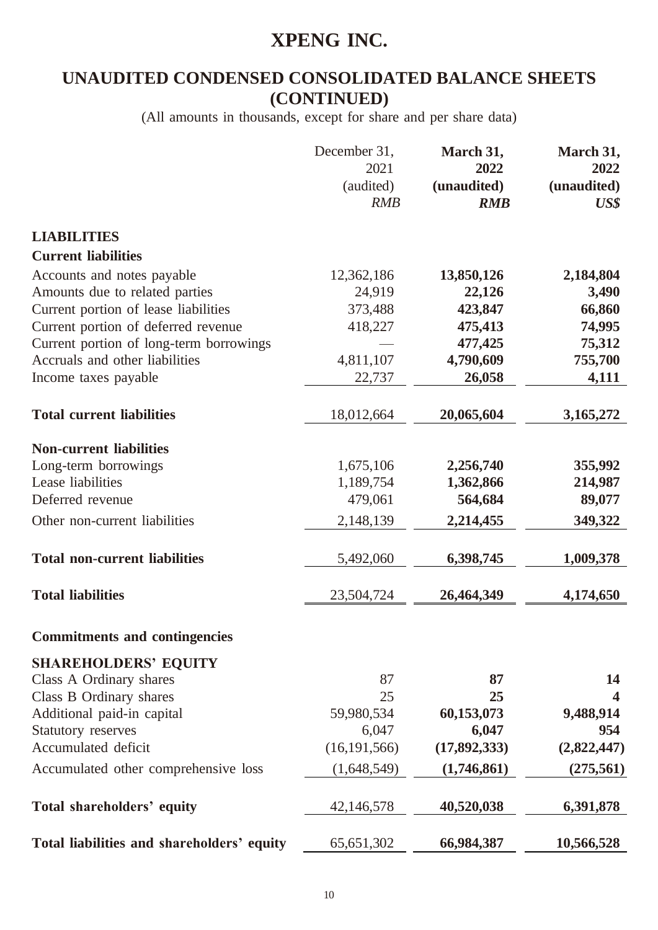### **UNAUDITED CONDENSED CONSOLIDATED BALANCE SHEETS (CONTINUED)**

|                                                                           | December 31,<br>2021<br>(audited)<br><b>RMB</b> | March 31,<br>2022<br>(unaudited)<br><b>RMB</b> | March 31,<br>2022<br>(unaudited)<br>$\boldsymbol{U}$ S\$ |
|---------------------------------------------------------------------------|-------------------------------------------------|------------------------------------------------|----------------------------------------------------------|
| <b>LIABILITIES</b>                                                        |                                                 |                                                |                                                          |
| <b>Current liabilities</b>                                                |                                                 |                                                |                                                          |
| Accounts and notes payable                                                | 12,362,186                                      | 13,850,126                                     | 2,184,804                                                |
| Amounts due to related parties                                            | 24,919                                          | 22,126                                         | 3,490                                                    |
| Current portion of lease liabilities                                      | 373,488                                         | 423,847                                        | 66,860                                                   |
| Current portion of deferred revenue                                       | 418,227                                         | 475,413                                        | 74,995                                                   |
| Current portion of long-term borrowings<br>Accruals and other liabilities |                                                 | 477,425                                        | 75,312                                                   |
|                                                                           | 4,811,107                                       | 4,790,609                                      | 755,700                                                  |
| Income taxes payable                                                      | 22,737                                          | 26,058                                         | 4,111                                                    |
| <b>Total current liabilities</b>                                          | 18,012,664                                      | 20,065,604                                     | 3,165,272                                                |
| <b>Non-current liabilities</b>                                            |                                                 |                                                |                                                          |
|                                                                           | 1,675,106                                       | 2,256,740                                      | 355,992                                                  |
| Long-term borrowings<br>Lease liabilities                                 | 1,189,754                                       | 1,362,866                                      | 214,987                                                  |
| Deferred revenue                                                          | 479,061                                         | 564,684                                        | 89,077                                                   |
|                                                                           |                                                 |                                                |                                                          |
| Other non-current liabilities                                             | 2,148,139                                       | 2,214,455                                      | 349,322                                                  |
| <b>Total non-current liabilities</b>                                      | 5,492,060                                       | 6,398,745                                      | 1,009,378                                                |
| <b>Total liabilities</b>                                                  | 23,504,724                                      | 26,464,349                                     | 4,174,650                                                |
| <b>Commitments and contingencies</b>                                      |                                                 |                                                |                                                          |
| <b>SHAREHOLDERS' EQUITY</b>                                               |                                                 |                                                |                                                          |
| Class A Ordinary shares                                                   | 87                                              | 87                                             | 14                                                       |
| Class B Ordinary shares                                                   | 25                                              | 25                                             | $\overline{\mathbf{4}}$                                  |
| Additional paid-in capital                                                | 59,980,534                                      | 60,153,073                                     | 9,488,914                                                |
| <b>Statutory reserves</b>                                                 | 6,047                                           | 6,047                                          | 954                                                      |
| Accumulated deficit                                                       | (16, 191, 566)                                  | (17, 892, 333)                                 | (2,822,447)                                              |
| Accumulated other comprehensive loss                                      | (1,648,549)                                     | (1,746,861)                                    | (275, 561)                                               |
| Total shareholders' equity                                                | 42,146,578                                      | 40,520,038                                     | 6,391,878                                                |
|                                                                           |                                                 |                                                |                                                          |
| Total liabilities and shareholders' equity                                | 65, 651, 302                                    | 66,984,387                                     | 10,566,528                                               |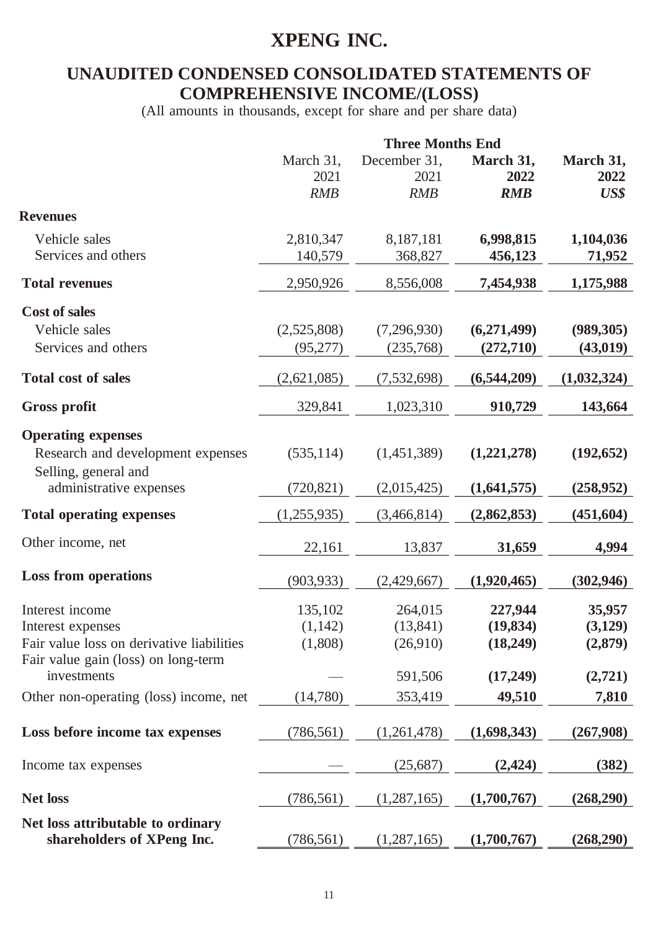### **UNAUDITED CONDENSED CONSOLIDATED STATEMENTS OF COMPREHENSIVE INCOME/(LOSS)**

|                                                                                   | <b>Three Months End</b>         |                                    |                                  |                              |
|-----------------------------------------------------------------------------------|---------------------------------|------------------------------------|----------------------------------|------------------------------|
|                                                                                   | March 31,<br>2021<br><b>RMB</b> | December 31,<br>2021<br><b>RMB</b> | March 31,<br>2022<br><b>RMB</b>  | March 31,<br>2022<br>US\$    |
| <b>Revenues</b>                                                                   |                                 |                                    |                                  |                              |
| Vehicle sales<br>Services and others                                              | 2,810,347<br>140,579            | 8,187,181<br>368,827               | 6,998,815<br>456,123             | 1,104,036<br>71,952          |
| <b>Total revenues</b>                                                             | 2,950,926                       | 8,556,008                          | 7,454,938                        | 1,175,988                    |
| <b>Cost of sales</b>                                                              |                                 |                                    |                                  |                              |
| Vehicle sales                                                                     | (2,525,808)                     | (7,296,930)                        | (6,271,499)                      | (989, 305)                   |
| Services and others                                                               | (95,277)                        | (235,768)                          | (272, 710)                       | (43, 019)                    |
| <b>Total cost of sales</b>                                                        | (2,621,085)                     | (7, 532, 698)                      | (6,544,209)                      | (1,032,324)                  |
| <b>Gross profit</b>                                                               | 329,841                         | 1,023,310                          | 910,729                          | 143,664                      |
| <b>Operating expenses</b>                                                         |                                 |                                    |                                  |                              |
| Research and development expenses                                                 | (535, 114)                      | (1,451,389)                        | (1,221,278)                      | (192, 652)                   |
| Selling, general and<br>administrative expenses                                   | (720, 821)                      | (2,015,425)                        | (1,641,575)                      | (258, 952)                   |
| <b>Total operating expenses</b>                                                   | (1,255,935)                     | (3,466,814)                        | (2,862,853)                      | (451, 604)                   |
| Other income, net                                                                 | 22,161                          | 13,837                             | 31,659                           | 4,994                        |
| <b>Loss from operations</b>                                                       | (903, 933)                      | (2,429,667)                        | (1,920,465)                      | (302, 946)                   |
| Interest income<br>Interest expenses<br>Fair value loss on derivative liabilities | 135,102<br>(1,142)<br>(1,808)   | 264,015<br>(13, 841)<br>(26,910)   | 227,944<br>(19, 834)<br>(18,249) | 35,957<br>(3,129)<br>(2,879) |
| Fair value gain (loss) on long-term<br>investments                                |                                 | 591,506                            | (17,249)                         | (2,721)                      |
| Other non-operating (loss) income, net                                            | (14,780)                        | 353,419                            | 49,510                           | 7,810                        |
| Loss before income tax expenses                                                   | (786, 561)                      | (1,261,478)                        | (1,698,343)                      | (267,908)                    |
| Income tax expenses                                                               |                                 | (25,687)                           | (2, 424)                         | (382)                        |
| <b>Net loss</b>                                                                   | (786, 561)                      | (1,287,165)                        | (1,700,767)                      | (268,290)                    |
| Net loss attributable to ordinary<br>shareholders of XPeng Inc.                   | (786, 561)                      | (1,287,165)                        | (1,700,767)                      | (268,290)                    |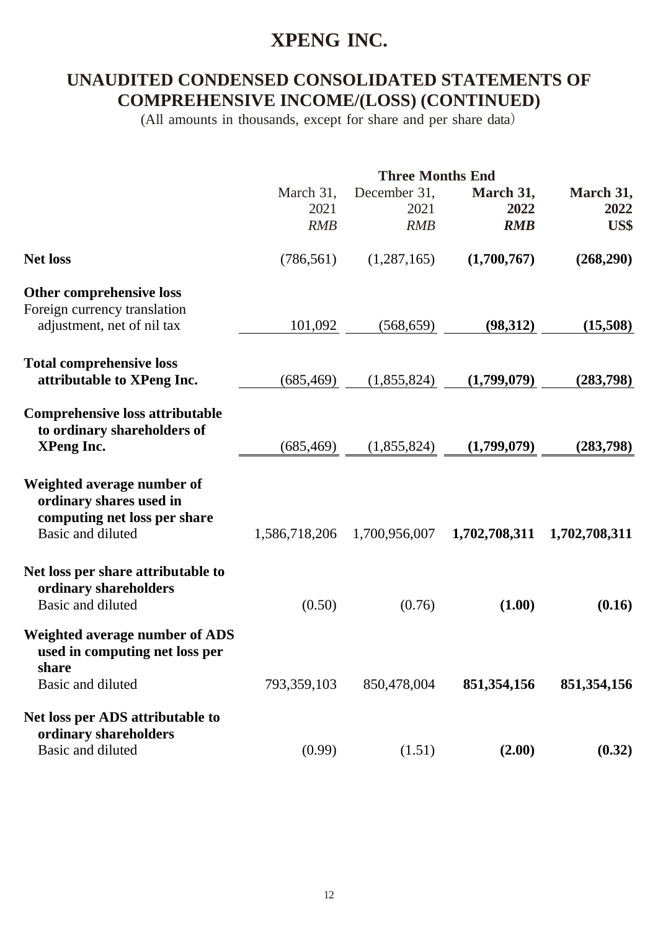### **UNAUDITED CONDENSED CONSOLIDATED STATEMENTS OF COMPREHENSIVE INCOME/(LOSS) (CONTINUED)**

|                                                                                                            | <b>Three Months End</b>         |                             |                                 |                           |
|------------------------------------------------------------------------------------------------------------|---------------------------------|-----------------------------|---------------------------------|---------------------------|
|                                                                                                            | March 31,<br>2021<br><b>RMB</b> | December 31,<br>2021<br>RMB | March 31,<br>2022<br><b>RMB</b> | March 31,<br>2022<br>US\$ |
| <b>Net loss</b>                                                                                            | (786, 561)                      | (1,287,165)                 | (1,700,767)                     | (268,290)                 |
| Other comprehensive loss                                                                                   |                                 |                             |                                 |                           |
| Foreign currency translation<br>adjustment, net of nil tax                                                 | 101,092                         | (568, 659)                  | (98, 312)                       | (15,508)                  |
| <b>Total comprehensive loss</b><br>attributable to XPeng Inc.                                              | (685, 469)                      | (1,855,824)                 | (1,799,079)                     | (283,798)                 |
| <b>Comprehensive loss attributable</b><br>to ordinary shareholders of<br><b>XPeng Inc.</b>                 | (685, 469)                      | (1,855,824)                 | (1,799,079)                     | (283,798)                 |
| Weighted average number of<br>ordinary shares used in<br>computing net loss per share<br>Basic and diluted | 1,586,718,206                   | 1,700,956,007               | 1,702,708,311                   | 1,702,708,311             |
| Net loss per share attributable to<br>ordinary shareholders<br>Basic and diluted                           | (0.50)                          | (0.76)                      | (1.00)                          | (0.16)                    |
| <b>Weighted average number of ADS</b><br>used in computing net loss per<br>share<br>Basic and diluted      | 793,359,103                     | 850,478,004                 | 851,354,156                     | 851, 354, 156             |
| Net loss per ADS attributable to<br>ordinary shareholders<br>Basic and diluted                             | (0.99)                          | (1.51)                      | (2.00)                          | (0.32)                    |